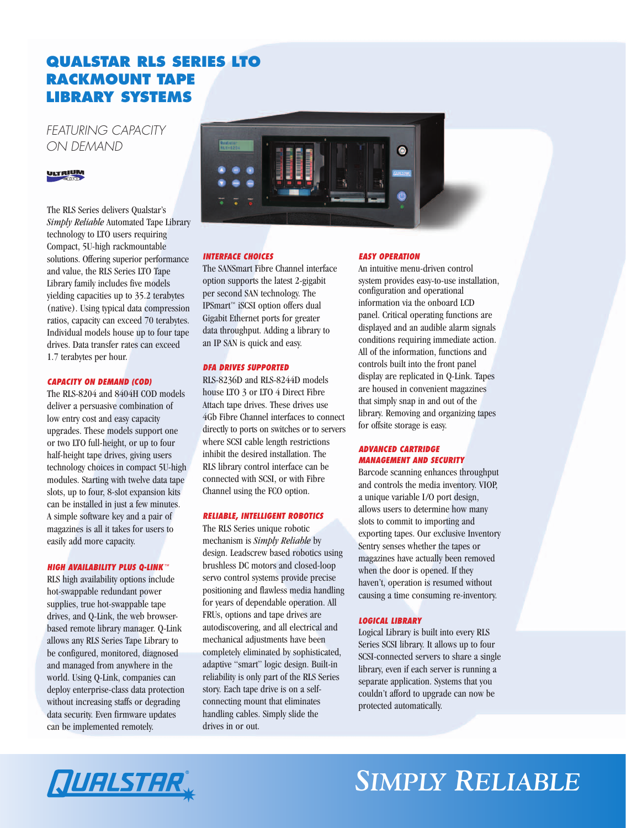# **QUALSTAR RLS SERIES LTO RACKMOUNT TAPE LIBRARY SYSTEMS**

# *FEATURING CAPACITY ON DEMAND*

### **ULTRIUM**

The RLS Series delivers Qualstar's *Simply Reliable* Automated Tape Library technology to LTO users requiring Compact, 5U-high rackmountable solutions. Offering superior performance and value, the RLS Series LTO Tape Library family includes five models yielding capacities up to 35.2 terabytes (native). Using typical data compression ratios, capacity can exceed 70 terabytes. Individual models house up to four tape drives. Data transfer rates can exceed 1.7 terabytes per hour.

### *CAPACITY ON DEMAND (COD)*

The RLS-8204 and 8404H COD models deliver a persuasive combination of low entry cost and easy capacity upgrades. These models support one or two LTO full-height, or up to four half-height tape drives, giving users technology choices in compact 5U-high modules. Starting with twelve data tape slots, up to four, 8-slot expansion kits can be installed in just a few minutes. A simple software key and a pair of magazines is all it takes for users to easily add more capacity.

### *HIGH AVAILABILITY PLUS Q-LINK™*

RLS high availability options include hot-swappable redundant power supplies, true hot-swappable tape drives, and Q-Link, the web browserbased remote library manager. Q-Link allows any RLS Series Tape Library to be configured, monitored, diagnosed and managed from anywhere in the world. Using Q-Link, companies can deploy enterprise-class data protection without increasing staffs or degrading data security. Even firmware updates can be implemented remotely.



### *INTERFACE CHOICES*

The SANSmart Fibre Channel interface option supports the latest 2-gigabit per second SAN technology. The IPSmart™ iSCSI option offers dual Gigabit Ethernet ports for greater data throughput. Adding a library to an IP SAN is quick and easy.

### *DFA DRIVES SUPPORTED*

RLS-8236D and RLS-8244D models house LTO 3 or LTO 4 Direct Fibre Attach tape drives. These drives use 4Gb Fibre Channel interfaces to connect directly to ports on switches or to servers where SCSI cable length restrictions inhibit the desired installation. The RLS library control interface can be connected with SCSI, or with Fibre Channel using the FCO option.

### *RELIABLE, INTELLIGENT ROBOTICS*

The RLS Series unique robotic mechanism is *Simply Reliable* by design. Leadscrew based robotics using brushless DC motors and closed-loop servo control systems provide precise positioning and flawless media handling for years of dependable operation. All FRUs, options and tape drives are autodiscovering, and all electrical and mechanical adjustments have been completely eliminated by sophisticated, adaptive "smart" logic design. Built-in reliability is only part of the RLS Series story. Each tape drive is on a selfconnecting mount that eliminates handling cables. Simply slide the drives in or out.

#### *EASY OPERATION*

An intuitive menu-driven control system provides easy-to-use installation, configuration and operational information via the onboard LCD panel. Critical operating functions are displayed and an audible alarm signals conditions requiring immediate action. All of the information, functions and controls built into the front panel display are replicated in Q-Link. Tapes are housed in convenient magazines that simply snap in and out of the library. Removing and organizing tapes for offsite storage is easy.

### *ADVANCED CARTRIDGE MANAGEMENT AND SECURITY*

Barcode scanning enhances throughput and controls the media inventory. VIOP, a unique variable I/O port design, allows users to determine how many slots to commit to importing and exporting tapes. Our exclusive Inventory Sentry senses whether the tapes or magazines have actually been removed when the door is opened. If they haven't, operation is resumed without causing a time consuming re-inventory.

### *LOGICAL LIBRARY*

Logical Library is built into every RLS Series SCSI library. It allows up to four SCSI-connected servers to share a single library, even if each server is running a separate application. Systems that you couldn't afford to upgrade can now be protected automatically.

# *SIMPLY RELIABLE*